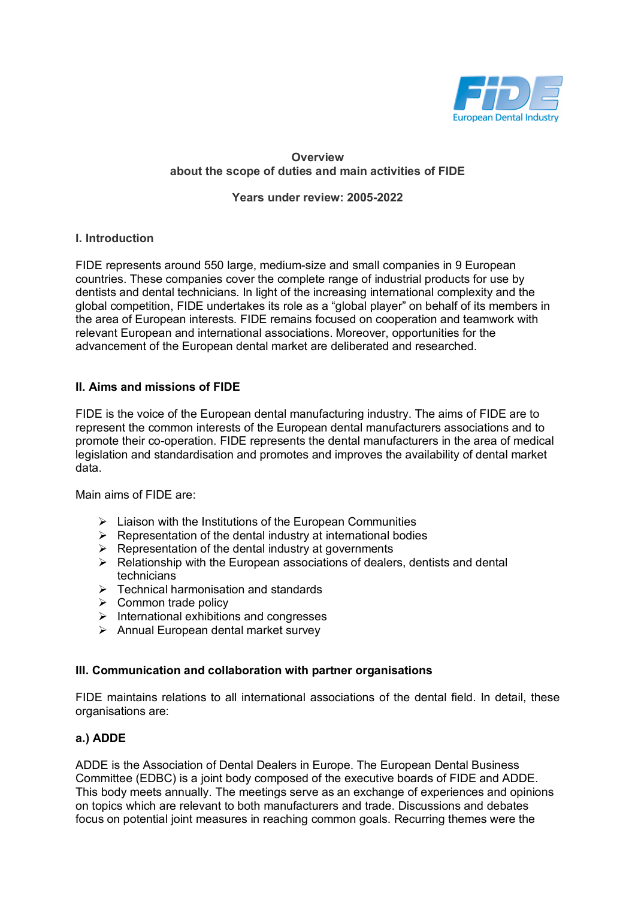

## **Overview about the scope of duties and main activities of FIDE**

**Years under review: 2005-2022**

### **I. Introduction**

FIDE represents around 550 large, medium-size and small companies in 9 European countries. These companies cover the complete range of industrial products for use by dentists and dental technicians. In light of the increasing international complexity and the global competition, FIDE undertakes its role as a "global player" on behalf of its members in the area of European interests. FIDE remains focused on cooperation and teamwork with relevant European and international associations. Moreover, opportunities for the advancement of the European dental market are deliberated and researched.

## **II. Aims and missions of FIDE**

FIDE is the voice of the European dental manufacturing industry. The aims of FIDE are to represent the common interests of the European dental manufacturers associations and to promote their co-operation. FIDE represents the dental manufacturers in the area of medical legislation and standardisation and promotes and improves the availability of dental market data.

Main aims of FIDE are:

- $\triangleright$  Liaison with the Institutions of the European Communities
- $\triangleright$  Representation of the dental industry at international bodies
- $\triangleright$  Representation of the dental industry at governments
- $\triangleright$  Relationship with the European associations of dealers, dentists and dental technicians
- $\triangleright$  Technical harmonisation and standards
- $\triangleright$  Common trade policy
- $\triangleright$  International exhibitions and congresses
- $\triangleright$  Annual European dental market survey

### **III. Communication and collaboration with partner organisations**

FIDE maintains relations to all international associations of the dental field. In detail, these organisations are:

### **a.) ADDE**

ADDE is the Association of Dental Dealers in Europe. The European Dental Business Committee (EDBC) is a joint body composed of the executive boards of FIDE and ADDE. This body meets annually. The meetings serve as an exchange of experiences and opinions on topics which are relevant to both manufacturers and trade. Discussions and debates focus on potential joint measures in reaching common goals. Recurring themes were the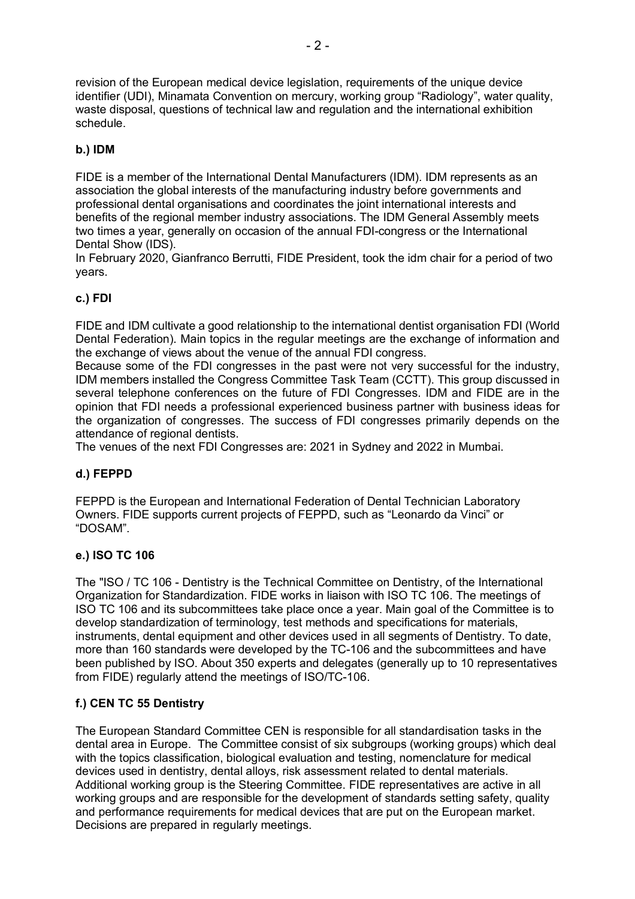revision of the European medical device legislation, requirements of the unique device identifier (UDI), Minamata Convention on mercury, working group "Radiology", water quality, waste disposal, questions of technical law and regulation and the international exhibition schedule.

# **b.) IDM**

FIDE is a member of the International Dental Manufacturers (IDM). IDM represents as an association the global interests of the manufacturing industry before governments and professional dental organisations and coordinates the joint international interests and benefits of the regional member industry associations. The IDM General Assembly meets two times a year, generally on occasion of the annual FDI-congress or the International Dental Show (IDS).

In February 2020, Gianfranco Berrutti, FIDE President, took the idm chair for a period of two years.

# **c.) FDI**

FIDE and IDM cultivate a good relationship to the international dentist organisation FDI (World Dental Federation). Main topics in the regular meetings are the exchange of information and the exchange of views about the venue of the annual FDI congress.

Because some of the FDI congresses in the past were not very successful for the industry, IDM members installed the Congress Committee Task Team (CCTT). This group discussed in several telephone conferences on the future of FDI Congresses. IDM and FIDE are in the opinion that FDI needs a professional experienced business partner with business ideas for the organization of congresses. The success of FDI congresses primarily depends on the attendance of regional dentists.

The venues of the next FDI Congresses are: 2021 in Sydney and 2022 in Mumbai.

## **d.) FEPPD**

FEPPD is the European and International Federation of Dental Technician Laboratory Owners. FIDE supports current projects of FEPPD, such as "Leonardo da Vinci" or "DOSAM".

## **e.) ISO TC 106**

The "ISO / TC 106 - Dentistry is the Technical Committee on Dentistry, of the International Organization for Standardization. FIDE works in liaison with ISO TC 106. The meetings of ISO TC 106 and its subcommittees take place once a year. Main goal of the Committee is to develop standardization of terminology, test methods and specifications for materials, instruments, dental equipment and other devices used in all segments of Dentistry. To date, more than 160 standards were developed by the TC-106 and the subcommittees and have been published by ISO. About 350 experts and delegates (generally up to 10 representatives from FIDE) regularly attend the meetings of ISO/TC-106.

## **f.) CEN TC 55 Dentistry**

The European Standard Committee CEN is responsible for all standardisation tasks in the dental area in Europe. The Committee consist of six subgroups (working groups) which deal with the topics classification, biological evaluation and testing, nomenclature for medical devices used in dentistry, dental alloys, risk assessment related to dental materials. Additional working group is the Steering Committee. FIDE representatives are active in all working groups and are responsible for the development of standards setting safety, quality and performance requirements for medical devices that are put on the European market. Decisions are prepared in regularly meetings.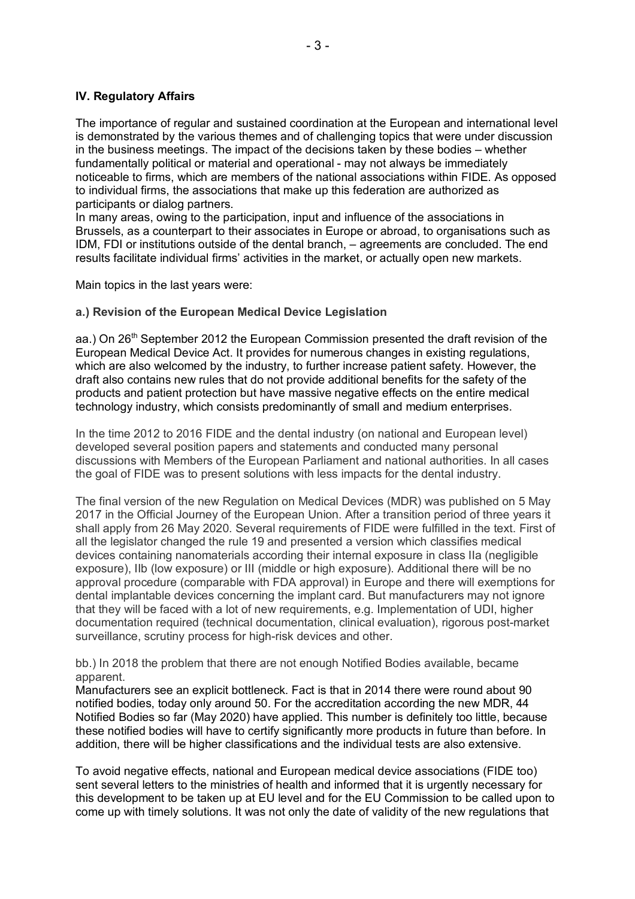### **IV. Regulatory Affairs**

The importance of regular and sustained coordination at the European and international level is demonstrated by the various themes and of challenging topics that were under discussion in the business meetings. The impact of the decisions taken by these bodies – whether fundamentally political or material and operational - may not always be immediately noticeable to firms, which are members of the national associations within FIDE. As opposed to individual firms, the associations that make up this federation are authorized as participants or dialog partners.

In many areas, owing to the participation, input and influence of the associations in Brussels, as a counterpart to their associates in Europe or abroad, to organisations such as IDM, FDI or institutions outside of the dental branch, – agreements are concluded. The end results facilitate individual firms' activities in the market, or actually open new markets.

Main topics in the last years were:

### **a.) Revision of the European Medical Device Legislation**

aa.) On 26<sup>th</sup> September 2012 the European Commission presented the draft revision of the European Medical Device Act. It provides for numerous changes in existing regulations, which are also welcomed by the industry, to further increase patient safety. However, the draft also contains new rules that do not provide additional benefits for the safety of the products and patient protection but have massive negative effects on the entire medical technology industry, which consists predominantly of small and medium enterprises.

In the time 2012 to 2016 FIDE and the dental industry (on national and European level) developed several position papers and statements and conducted many personal discussions with Members of the European Parliament and national authorities. In all cases the goal of FIDE was to present solutions with less impacts for the dental industry.

The final version of the new Regulation on Medical Devices (MDR) was published on 5 May 2017 in the Official Journey of the European Union. After a transition period of three years it shall apply from 26 May 2020. Several requirements of FIDE were fulfilled in the text. First of all the legislator changed the rule 19 and presented a version which classifies medical devices containing nanomaterials according their internal exposure in class IIa (negligible exposure), IIb (low exposure) or III (middle or high exposure). Additional there will be no approval procedure (comparable with FDA approval) in Europe and there will exemptions for dental implantable devices concerning the implant card. But manufacturers may not ignore that they will be faced with a lot of new requirements, e.g. Implementation of UDI, higher documentation required (technical documentation, clinical evaluation), rigorous post-market surveillance, scrutiny process for high-risk devices and other.

bb.) In 2018 the problem that there are not enough Notified Bodies available, became apparent.

Manufacturers see an explicit bottleneck. Fact is that in 2014 there were round about 90 notified bodies, today only around 50. For the accreditation according the new MDR, 44 Notified Bodies so far (May 2020) have applied. This number is definitely too little, because these notified bodies will have to certify significantly more products in future than before. In addition, there will be higher classifications and the individual tests are also extensive.

To avoid negative effects, national and European medical device associations (FIDE too) sent several letters to the ministries of health and informed that it is urgently necessary for this development to be taken up at EU level and for the EU Commission to be called upon to come up with timely solutions. It was not only the date of validity of the new regulations that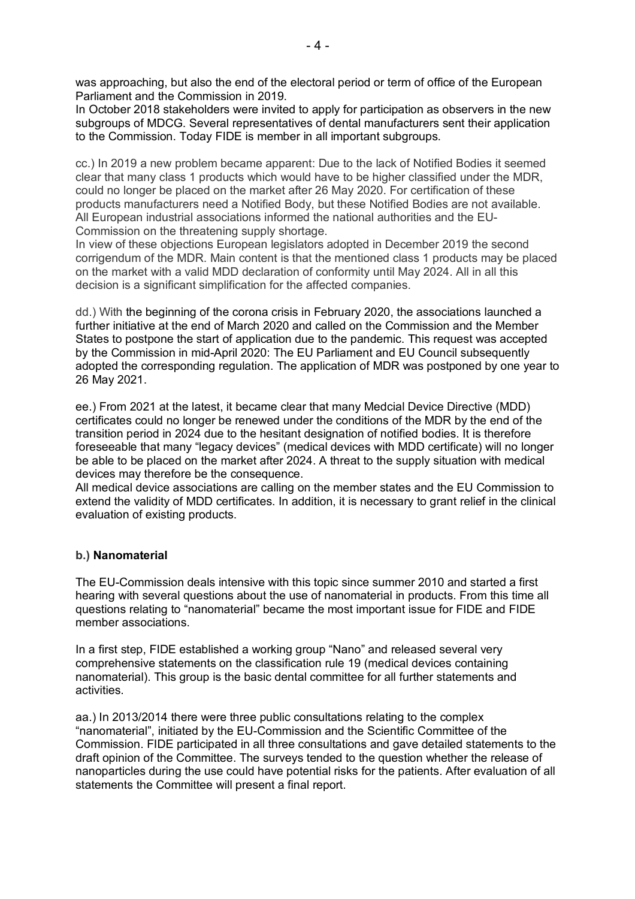was approaching, but also the end of the electoral period or term of office of the European Parliament and the Commission in 2019.

In October 2018 stakeholders were invited to apply for participation as observers in the new subgroups of MDCG. Several representatives of dental manufacturers sent their application to the Commission. Today FIDE is member in all important subgroups.

cc.) In 2019 a new problem became apparent: Due to the lack of Notified Bodies it seemed clear that many class 1 products which would have to be higher classified under the MDR, could no longer be placed on the market after 26 May 2020. For certification of these products manufacturers need a Notified Body, but these Notified Bodies are not available. All European industrial associations informed the national authorities and the EU-Commission on the threatening supply shortage.

In view of these objections European legislators adopted in December 2019 the second corrigendum of the MDR. Main content is that the mentioned class 1 products may be placed on the market with a valid MDD declaration of conformity until May 2024. All in all this decision is a significant simplification for the affected companies.

dd.) With the beginning of the corona crisis in February 2020, the associations launched a further initiative at the end of March 2020 and called on the Commission and the Member States to postpone the start of application due to the pandemic. This request was accepted by the Commission in mid-April 2020: The EU Parliament and EU Council subsequently adopted the corresponding regulation. The application of MDR was postponed by one year to 26 May 2021.

ee.) From 2021 at the latest, it became clear that many Medcial Device Directive (MDD) certificates could no longer be renewed under the conditions of the MDR by the end of the transition period in 2024 due to the hesitant designation of notified bodies. It is therefore foreseeable that many "legacy devices" (medical devices with MDD certificate) will no longer be able to be placed on the market after 2024. A threat to the supply situation with medical devices may therefore be the consequence.

All medical device associations are calling on the member states and the EU Commission to extend the validity of MDD certificates. In addition, it is necessary to grant relief in the clinical evaluation of existing products.

### **b.) Nanomaterial**

The EU-Commission deals intensive with this topic since summer 2010 and started a first hearing with several questions about the use of nanomaterial in products. From this time all questions relating to "nanomaterial" became the most important issue for FIDE and FIDE member associations.

In a first step, FIDE established a working group "Nano" and released several very comprehensive statements on the classification rule 19 (medical devices containing nanomaterial). This group is the basic dental committee for all further statements and activities.

aa.) In 2013/2014 there were three public consultations relating to the complex "nanomaterial", initiated by the EU-Commission and the Scientific Committee of the Commission. FIDE participated in all three consultations and gave detailed statements to the draft opinion of the Committee. The surveys tended to the question whether the release of nanoparticles during the use could have potential risks for the patients. After evaluation of all statements the Committee will present a final report.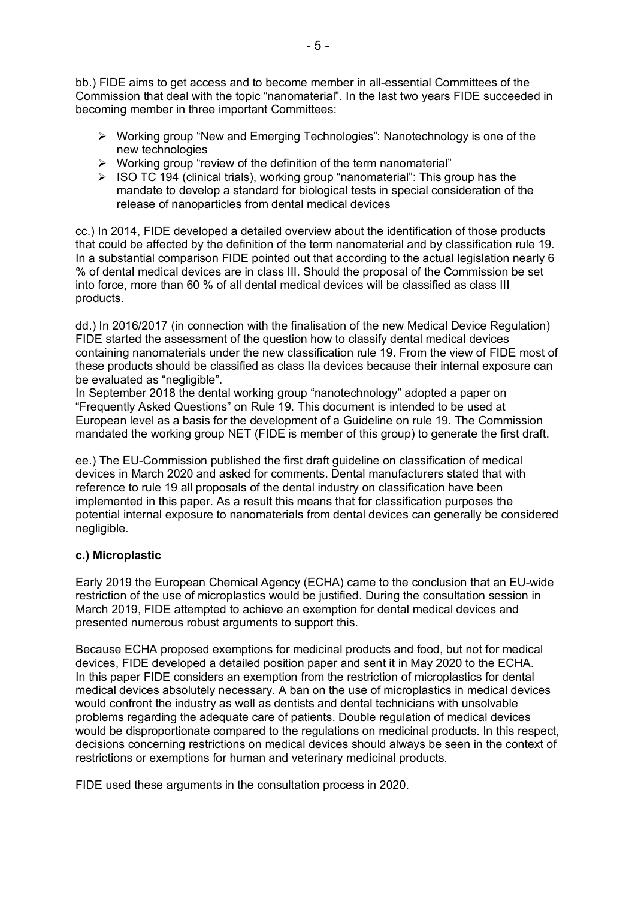bb.) FIDE aims to get access and to become member in all-essential Committees of the Commission that deal with the topic "nanomaterial". In the last two years FIDE succeeded in becoming member in three important Committees:

- $\triangleright$  Working group "New and Emerging Technologies": Nanotechnology is one of the new technologies
- $\triangleright$  Working group "review of the definition of the term nanomaterial"
- $\triangleright$  ISO TC 194 (clinical trials), working group "nanomaterial": This group has the mandate to develop a standard for biological tests in special consideration of the release of nanoparticles from dental medical devices

cc.) In 2014, FIDE developed a detailed overview about the identification of those products that could be affected by the definition of the term nanomaterial and by classification rule 19. In a substantial comparison FIDE pointed out that according to the actual legislation nearly 6 % of dental medical devices are in class III. Should the proposal of the Commission be set into force, more than 60 % of all dental medical devices will be classified as class III products.

dd.) In 2016/2017 (in connection with the finalisation of the new Medical Device Regulation) FIDE started the assessment of the question how to classify dental medical devices containing nanomaterials under the new classification rule 19. From the view of FIDE most of these products should be classified as class IIa devices because their internal exposure can be evaluated as "negligible".

In September 2018 the dental working group "nanotechnology" adopted a paper on "Frequently Asked Questions" on Rule 19. This document is intended to be used at European level as a basis for the development of a Guideline on rule 19. The Commission mandated the working group NET (FIDE is member of this group) to generate the first draft.

ee.) The EU-Commission published the first draft guideline on classification of medical devices in March 2020 and asked for comments. Dental manufacturers stated that with reference to rule 19 all proposals of the dental industry on classification have been implemented in this paper. As a result this means that for classification purposes the potential internal exposure to nanomaterials from dental devices can generally be considered negligible.

### **c.) Microplastic**

Early 2019 the European Chemical Agency (ECHA) came to the conclusion that an EU-wide restriction of the use of microplastics would be justified. During the consultation session in March 2019, FIDE attempted to achieve an exemption for dental medical devices and presented numerous robust arguments to support this.

Because ECHA proposed exemptions for medicinal products and food, but not for medical devices, FIDE developed a detailed position paper and sent it in May 2020 to the ECHA. In this paper FIDE considers an exemption from the restriction of microplastics for dental medical devices absolutely necessary. A ban on the use of microplastics in medical devices would confront the industry as well as dentists and dental technicians with unsolvable problems regarding the adequate care of patients. Double regulation of medical devices would be disproportionate compared to the regulations on medicinal products. In this respect, decisions concerning restrictions on medical devices should always be seen in the context of restrictions or exemptions for human and veterinary medicinal products.

FIDE used these arguments in the consultation process in 2020.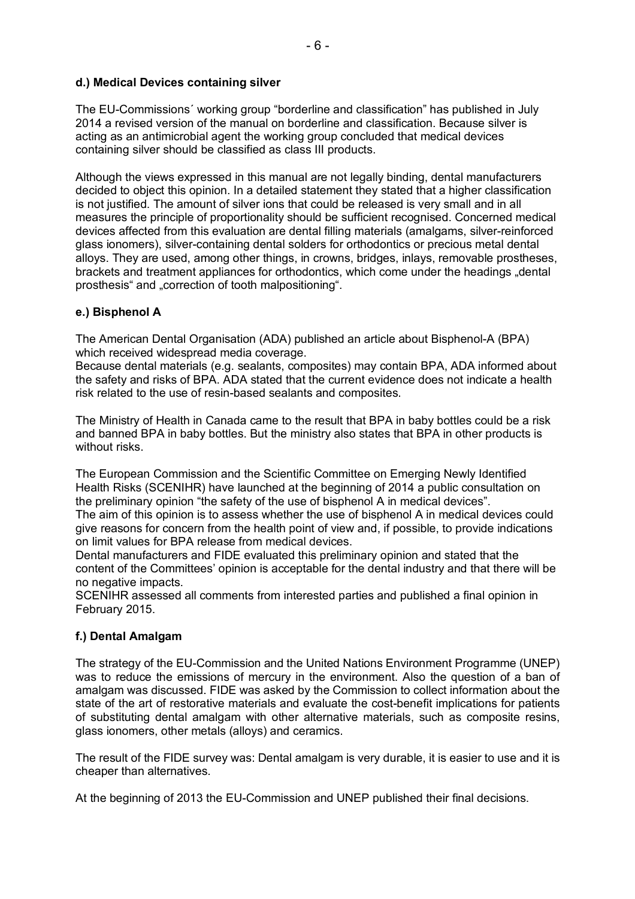## **d.) Medical Devices containing silver**

The EU-Commissions´ working group "borderline and classification" has published in July 2014 a revised version of the manual on borderline and classification. Because silver is acting as an antimicrobial agent the working group concluded that medical devices containing silver should be classified as class III products.

Although the views expressed in this manual are not legally binding, dental manufacturers decided to object this opinion. In a detailed statement they stated that a higher classification is not justified. The amount of silver ions that could be released is very small and in all measures the principle of proportionality should be sufficient recognised. Concerned medical devices affected from this evaluation are dental filling materials (amalgams, silver-reinforced glass ionomers), silver-containing dental solders for orthodontics or precious metal dental alloys. They are used, among other things, in crowns, bridges, inlays, removable prostheses, brackets and treatment appliances for orthodontics, which come under the headings "dental prosthesis" and "correction of tooth malpositioning".

## **e.) Bisphenol A**

The American Dental Organisation (ADA) published an article about Bisphenol-A (BPA) which received widespread media coverage.

Because dental materials (e.g. sealants, composites) may contain BPA, ADA informed about the safety and risks of BPA. ADA stated that the current evidence does not indicate a health risk related to the use of resin-based sealants and composites.

The Ministry of Health in Canada came to the result that BPA in baby bottles could be a risk and banned BPA in baby bottles. But the ministry also states that BPA in other products is without risks.

The European Commission and the Scientific Committee on Emerging Newly Identified Health Risks (SCENIHR) have launched at the beginning of 2014 a public consultation on the preliminary opinion "the safety of the use of bisphenol A in medical devices".

The aim of this opinion is to assess whether the use of bisphenol A in medical devices could give reasons for concern from the health point of view and, if possible, to provide indications on limit values for BPA release from medical devices.

Dental manufacturers and FIDE evaluated this preliminary opinion and stated that the content of the Committees' opinion is acceptable for the dental industry and that there will be no negative impacts.

SCENIHR assessed all comments from interested parties and published a final opinion in February 2015.

### **f.) Dental Amalgam**

The strategy of the EU-Commission and the United Nations Environment Programme (UNEP) was to reduce the emissions of mercury in the environment. Also the question of a ban of amalgam was discussed. FIDE was asked by the Commission to collect information about the state of the art of restorative materials and evaluate the cost-benefit implications for patients of substituting dental amalgam with other alternative materials, such as composite resins, glass ionomers, other metals (alloys) and ceramics.

The result of the FIDE survey was: Dental amalgam is very durable, it is easier to use and it is cheaper than alternatives.

At the beginning of 2013 the EU-Commission and UNEP published their final decisions.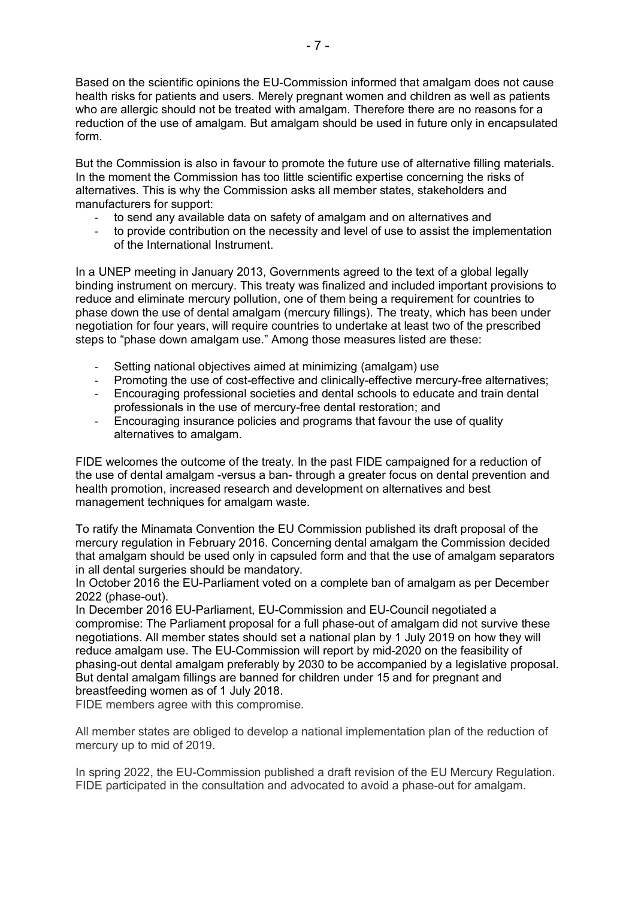Based on the scientific opinions the EU-Commission informed that amalgam does not cause health risks for patients and users. Merely pregnant women and children as well as patients who are allergic should not be treated with amalgam. Therefore there are no reasons for a reduction of the use of amalgam. But amalgam should be used in future only in encapsulated form.

But the Commission is also in favour to promote the future use of alternative filling materials. In the moment the Commission has too little scientific expertise concerning the risks of alternatives. This is why the Commission asks all member states, stakeholders and manufacturers for support:

- to send any available data on safety of amalgam and on alternatives and
- to provide contribution on the necessity and level of use to assist the implementation of the International Instrument.

In a UNEP meeting in January 2013, Governments agreed to the text of a global legally binding instrument on mercury. This treaty was finalized and included important provisions to reduce and eliminate mercury pollution, one of them being a requirement for countries to phase down the use of dental amalgam (mercury fillings). The treaty, which has been under negotiation for four years, will require countries to undertake at least two of the prescribed steps to "phase down amalgam use." Among those measures listed are these:

- Setting national objectives aimed at minimizing (amalgam) use
- Promoting the use of cost-effective and clinically-effective mercury-free alternatives;
- Encouraging professional societies and dental schools to educate and train dental professionals in the use of mercury-free dental restoration; and
- Encouraging insurance policies and programs that favour the use of quality alternatives to amalgam.

FIDE welcomes the outcome of the treaty. In the past FIDE campaigned for a reduction of the use of dental amalgam -versus a ban- through a greater focus on dental prevention and health promotion, increased research and development on alternatives and best management techniques for amalgam waste.

To ratify the Minamata Convention the EU Commission published its draft proposal of the mercury regulation in February 2016. Concerning dental amalgam the Commission decided that amalgam should be used only in capsuled form and that the use of amalgam separators in all dental surgeries should be mandatory.

In October 2016 the EU-Parliament voted on a complete ban of amalgam as per December 2022 (phase-out).

In December 2016 EU-Parliament, EU-Commission and EU-Council negotiated a compromise: The Parliament proposal for a full phase-out of amalgam did not survive these negotiations. All member states should set a national plan by 1 July 2019 on how they will reduce amalgam use. The EU-Commission will report by mid-2020 on the feasibility of phasing-out dental amalgam preferably by 2030 to be accompanied by a legislative proposal. But dental amalgam fillings are banned for children under 15 and for pregnant and breastfeeding women as of 1 July 2018.

FIDE members agree with this compromise.

All member states are obliged to develop a national implementation plan of the reduction of mercury up to mid of 2019.

In spring 2022, the EU-Commission published a draft revision of the EU Mercury Regulation. FIDE participated in the consultation and advocated to avoid a phase-out for amalgam.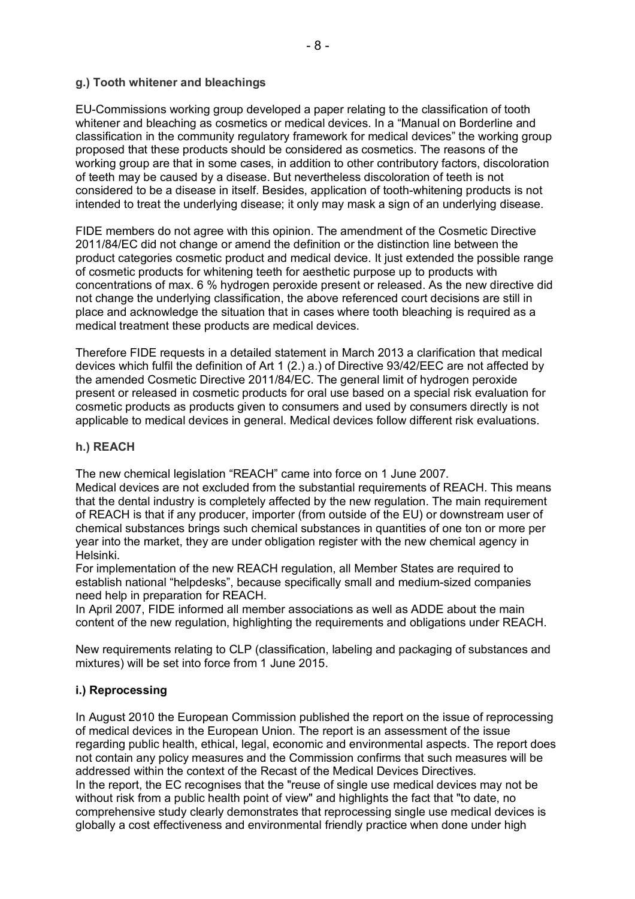### **g.) Tooth whitener and bleachings**

EU-Commissions working group developed a paper relating to the classification of tooth whitener and bleaching as cosmetics or medical devices. In a "Manual on Borderline and classification in the community regulatory framework for medical devices" the working group proposed that these products should be considered as cosmetics. The reasons of the working group are that in some cases, in addition to other contributory factors, discoloration of teeth may be caused by a disease. But nevertheless discoloration of teeth is not considered to be a disease in itself. Besides, application of tooth-whitening products is not intended to treat the underlying disease; it only may mask a sign of an underlying disease.

FIDE members do not agree with this opinion. The amendment of the Cosmetic Directive 2011/84/EC did not change or amend the definition or the distinction line between the product categories cosmetic product and medical device. It just extended the possible range of cosmetic products for whitening teeth for aesthetic purpose up to products with concentrations of max. 6 % hydrogen peroxide present or released. As the new directive did not change the underlying classification, the above referenced court decisions are still in place and acknowledge the situation that in cases where tooth bleaching is required as a medical treatment these products are medical devices.

Therefore FIDE requests in a detailed statement in March 2013 a clarification that medical devices which fulfil the definition of Art 1 (2.) a.) of Directive 93/42/EEC are not affected by the amended Cosmetic Directive 2011/84/EC. The general limit of hydrogen peroxide present or released in cosmetic products for oral use based on a special risk evaluation for cosmetic products as products given to consumers and used by consumers directly is not applicable to medical devices in general. Medical devices follow different risk evaluations.

#### **h.) REACH**

The new chemical legislation "REACH" came into force on 1 June 2007.

Medical devices are not excluded from the substantial requirements of REACH. This means that the dental industry is completely affected by the new regulation. The main requirement of REACH is that if any producer, importer (from outside of the EU) or downstream user of chemical substances brings such chemical substances in quantities of one ton or more per year into the market, they are under obligation register with the new chemical agency in Helsinki.

For implementation of the new REACH regulation, all Member States are required to establish national "helpdesks", because specifically small and medium-sized companies need help in preparation for REACH.

In April 2007, FIDE informed all member associations as well as ADDE about the main content of the new regulation, highlighting the requirements and obligations under REACH.

New requirements relating to CLP (classification, labeling and packaging of substances and mixtures) will be set into force from 1 June 2015.

#### **i.) Reprocessing**

In August 2010 the European Commission published the report on the issue of reprocessing of medical devices in the European Union. The report is an assessment of the issue regarding public health, ethical, legal, economic and environmental aspects. The report does not contain any policy measures and the Commission confirms that such measures will be addressed within the context of the Recast of the Medical Devices Directives. In the report, the EC recognises that the "reuse of single use medical devices may not be without risk from a public health point of view" and highlights the fact that "to date, no comprehensive study clearly demonstrates that reprocessing single use medical devices is globally a cost effectiveness and environmental friendly practice when done under high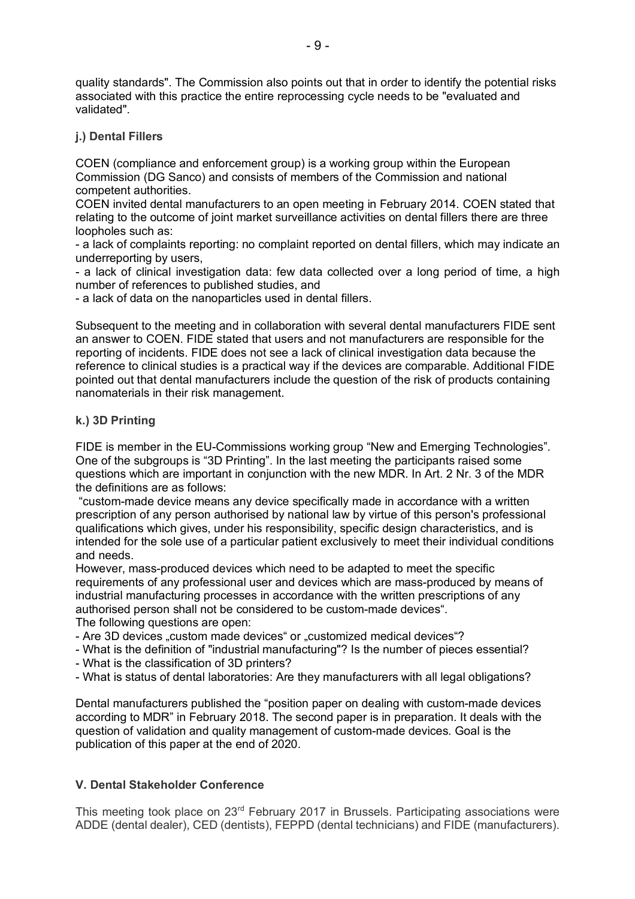quality standards". The Commission also points out that in order to identify the potential risks associated with this practice the entire reprocessing cycle needs to be "evaluated and validated".

#### **j.) Dental Fillers**

COEN (compliance and enforcement group) is a working group within the European Commission (DG Sanco) and consists of members of the Commission and national competent authorities.

COEN invited dental manufacturers to an open meeting in February 2014. COEN stated that relating to the outcome of joint market surveillance activities on dental fillers there are three loopholes such as:

- a lack of complaints reporting: no complaint reported on dental fillers, which may indicate an underreporting by users,

- a lack of clinical investigation data: few data collected over a long period of time, a high number of references to published studies, and

- a lack of data on the nanoparticles used in dental fillers.

Subsequent to the meeting and in collaboration with several dental manufacturers FIDE sent an answer to COEN. FIDE stated that users and not manufacturers are responsible for the reporting of incidents. FIDE does not see a lack of clinical investigation data because the reference to clinical studies is a practical way if the devices are comparable. Additional FIDE pointed out that dental manufacturers include the question of the risk of products containing nanomaterials in their risk management.

#### **k.) 3D Printing**

FIDE is member in the EU-Commissions working group "New and Emerging Technologies". One of the subgroups is "3D Printing". In the last meeting the participants raised some questions which are important in conjunction with the new MDR. In Art. 2 Nr. 3 of the MDR the definitions are as follows:

"custom-made device means any device specifically made in accordance with a written prescription of any person authorised by national law by virtue of this person's professional qualifications which gives, under his responsibility, specific design characteristics, and is intended for the sole use of a particular patient exclusively to meet their individual conditions and needs.

However, mass-produced devices which need to be adapted to meet the specific requirements of any professional user and devices which are mass-produced by means of industrial manufacturing processes in accordance with the written prescriptions of any authorised person shall not be considered to be custom-made devices".

The following questions are open:

- Are 3D devices "custom made devices" or "customized medical devices"?
- What is the definition of "industrial manufacturing"? Is the number of pieces essential?
- What is the classification of 3D printers?
- What is status of dental laboratories: Are they manufacturers with all legal obligations?

Dental manufacturers published the "position paper on dealing with custom-made devices according to MDR" in February 2018. The second paper is in preparation. It deals with the question of validation and quality management of custom-made devices. Goal is the publication of this paper at the end of 2020.

### **V. Dental Stakeholder Conference**

This meeting took place on 23<sup>rd</sup> February 2017 in Brussels. Participating associations were ADDE (dental dealer), CED (dentists), FEPPD (dental technicians) and FIDE (manufacturers).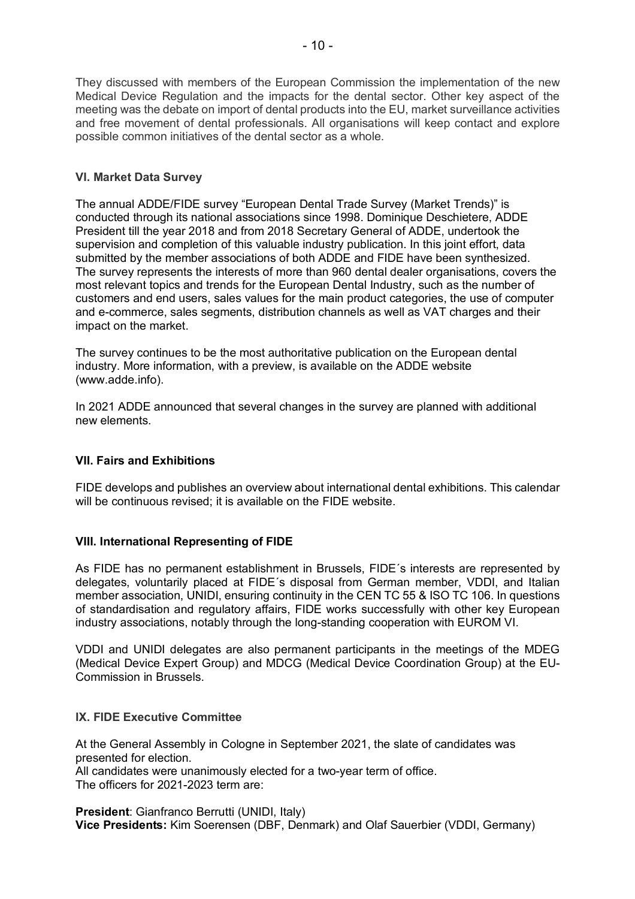They discussed with members of the European Commission the implementation of the new Medical Device Regulation and the impacts for the dental sector. Other key aspect of the meeting was the debate on import of dental products into the EU, market surveillance activities and free movement of dental professionals. All organisations will keep contact and explore possible common initiatives of the dental sector as a whole.

## **VI. Market Data Survey**

The annual ADDE/FIDE survey "European Dental Trade Survey (Market Trends)" is conducted through its national associations since 1998. Dominique Deschietere, ADDE President till the year 2018 and from 2018 Secretary General of ADDE, undertook the supervision and completion of this valuable industry publication. In this joint effort, data submitted by the member associations of both ADDE and FIDE have been synthesized. The survey represents the interests of more than 960 dental dealer organisations, covers the most relevant topics and trends for the European Dental Industry, such as the number of customers and end users, sales values for the main product categories, the use of computer and e-commerce, sales segments, distribution channels as well as VAT charges and their impact on the market.

The survey continues to be the most authoritative publication on the European dental industry. More information, with a preview, is available on the ADDE website (www.adde.info).

In 2021 ADDE announced that several changes in the survey are planned with additional new elements.

### **VII. Fairs and Exhibitions**

FIDE develops and publishes an overview about international dental exhibitions. This calendar will be continuous revised; it is available on the FIDE website.

### **VIII. International Representing of FIDE**

As FIDE has no permanent establishment in Brussels, FIDE´s interests are represented by delegates, voluntarily placed at FIDE´s disposal from German member, VDDI, and Italian member association, UNIDI, ensuring continuity in the CEN TC 55 & ISO TC 106. In questions of standardisation and regulatory affairs, FIDE works successfully with other key European industry associations, notably through the long-standing cooperation with EUROM VI.

VDDI and UNIDI delegates are also permanent participants in the meetings of the MDEG (Medical Device Expert Group) and MDCG (Medical Device Coordination Group) at the EU-Commission in Brussels.

### **IX. FIDE Executive Committee**

At the General Assembly in Cologne in September 2021, the slate of candidates was presented for election. All candidates were unanimously elected for a two-year term of office.

The officers for 2021-2023 term are:

**President**: Gianfranco Berrutti (UNIDI, Italy) **Vice Presidents:** Kim Soerensen (DBF, Denmark) and Olaf Sauerbier (VDDI, Germany)